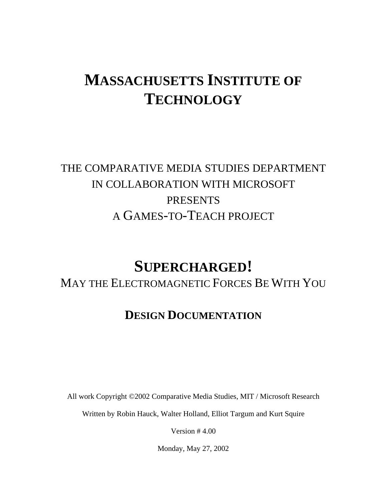# **MASSACHUSETTS INSTITUTE OF TECHNOLOGY**

## THE COMPARATIVE MEDIA STUDIES DEPARTMENT IN COLLABORATION WITH MICROSOFT **PRESENTS** A GAMES-TO-TEACH PROJECT

# **SUPERCHARGED!**

MAY THE ELECTROMAGNETIC FORCES BE WITH YOU

## **DESIGN DOCUMENTATION**

All work Copyright ©2002 Comparative Media Studies, MIT / Microsoft Research

Written by Robin Hauck, Walter Holland, Elliot Targum and Kurt Squire

Version # 4.00

Monday, May 27, 2002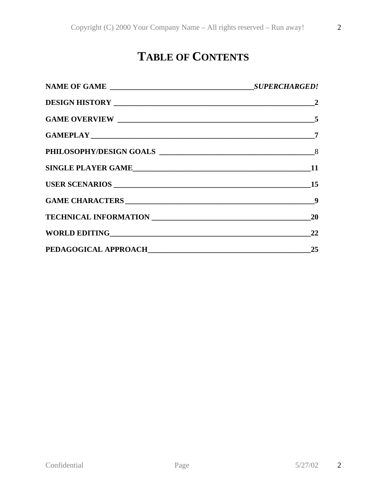## **TABLE OF CONTENTS**

| SINGLE PLAYER GAME |    |
|--------------------|----|
|                    |    |
|                    |    |
|                    |    |
| WORLD EDITING 22   |    |
|                    | 25 |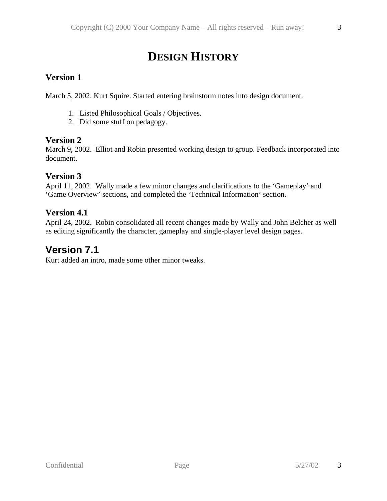## **DESIGN HISTORY**

### **Version 1**

March 5, 2002. Kurt Squire. Started entering brainstorm notes into design document.

- 1. Listed Philosophical Goals / Objectives.
- 2. Did some stuff on pedagogy.

### **Version 2**

March 9, 2002. Elliot and Robin presented working design to group. Feedback incorporated into document.

### **Version 3**

April 11, 2002. Wally made a few minor changes and clarifications to the 'Gameplay' and 'Game Overview' sections, and completed the 'Technical Information' section.

### **Version 4.1**

April 24, 2002. Robin consolidated all recent changes made by Wally and John Belcher as well as editing significantly the character, gameplay and single-player level design pages.

### **Version 7.1**

Kurt added an intro, made some other minor tweaks.

3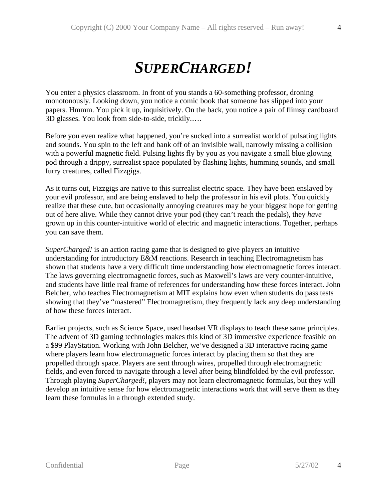# *SUPERCHARGED!*

You enter a physics classroom. In front of you stands a 60-something professor, droning monotonously. Looking down, you notice a comic book that someone has slipped into your papers. Hmmm. You pick it up, inquisitively. On the back, you notice a pair of flimsy cardboard 3D glasses. You look from side-to-side, trickily.….

Before you even realize what happened, you're sucked into a surrealist world of pulsating lights and sounds. You spin to the left and bank off of an invisible wall, narrowly missing a collision with a powerful magnetic field. Pulsing lights fly by you as you navigate a small blue glowing pod through a drippy, surrealist space populated by flashing lights, humming sounds, and small furry creatures, called Fizzgigs.

As it turns out, Fizzgigs are native to this surrealist electric space. They have been enslaved by your evil professor, and are being enslaved to help the professor in his evil plots. You quickly realize that these cute, but occasionally annoying creatures may be your biggest hope for getting out of here alive. While they cannot drive your pod (they can't reach the pedals), they *have* grown up in this counter-intuitive world of electric and magnetic interactions. Together, perhaps you can save them.

*SuperCharged!* is an action racing game that is designed to give players an intuitive understanding for introductory E&M reactions. Research in teaching Electromagnetism has shown that students have a very difficult time understanding how electromagnetic forces interact. The laws governing electromagnetic forces, such as Maxwell's laws are very counter-intuitive, and students have little real frame of references for understanding how these forces interact. John Belcher, who teaches Electromagnetism at MIT explains how even when students do pass tests showing that they've "mastered" Electromagnetism, they frequently lack any deep understanding of how these forces interact.

Earlier projects, such as Science Space, used headset VR displays to teach these same principles. The advent of 3D gaming technologies makes this kind of 3D immersive experience feasible on a \$99 PlayStation. Working with John Belcher, we've designed a 3D interactive racing game where players learn how electromagnetic forces interact by placing them so that they are propelled through space. Players are sent through wires, propelled through electromagnetic fields, and even forced to navigate through a level after being blindfolded by the evil professor. Through playing *SuperCharged!*, players may not learn electromagnetic formulas, but they will develop an intuitive sense for how electromagnetic interactions work that will serve them as they learn these formulas in a through extended study.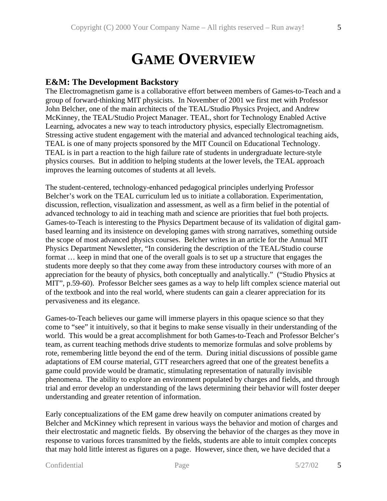# **GAME OVERVIEW**

### **E&M: The Development Backstory**

The Electromagnetism game is a collaborative effort between members of Games-to-Teach and a group of forward-thinking MIT physicists. In November of 2001 we first met with Professor John Belcher, one of the main architects of the TEAL/Studio Physics Project, and Andrew McKinney, the TEAL/Studio Project Manager. TEAL, short for Technology Enabled Active Learning, advocates a new way to teach introductory physics, especially Electromagnetism. Stressing active student engagement with the material and advanced technological teaching aids, TEAL is one of many projects sponsored by the MIT Council on Educational Technology. TEAL is in part a reaction to the high failure rate of students in undergraduate lecture-style physics courses. But in addition to helping students at the lower levels, the TEAL approach improves the learning outcomes of students at all levels.

The student-centered, technology-enhanced pedagogical principles underlying Professor Belcher's work on the TEAL curriculum led us to initiate a collaboration. Experimentation, discussion, reflection, visualization and assessment, as well as a firm belief in the potential of advanced technology to aid in teaching math and science are priorities that fuel both projects. Games-to-Teach is interesting to the Physics Department because of its validation of digital gambased learning and its insistence on developing games with strong narratives, something outside the scope of most advanced physics courses. Belcher writes in an article for the Annual MIT Physics Department Newsletter, "In considering the description of the TEAL/Studio course format … keep in mind that one of the overall goals is to set up a structure that engages the students more deeply so that they come away from these introductory courses with more of an appreciation for the beauty of physics, both conceptually and analytically." ("Studio Physics at MIT", p.59-60). Professor Belcher sees games as a way to help lift complex science material out of the textbook and into the real world, where students can gain a clearer appreciation for its pervasiveness and its elegance.

Games-to-Teach believes our game will immerse players in this opaque science so that they come to "see" it intuitively, so that it begins to make sense visually in their understanding of the world. This would be a great accomplishment for both Games-to-Teach and Professor Belcher's team, as current teaching methods drive students to memorize formulas and solve problems by rote, remembering little beyond the end of the term. During initial discussions of possible game adaptations of EM course material, GTT researchers agreed that one of the greatest benefits a game could provide would be dramatic, stimulating representation of naturally invisible phenomena. The ability to explore an environment populated by charges and fields, and through trial and error develop an understanding of the laws determining their behavior will foster deeper understanding and greater retention of information.

Early conceptualizations of the EM game drew heavily on computer animations created by Belcher and McKinney which represent in various ways the behavior and motion of charges and their electrostatic and magnetic fields. By observing the behavior of the charges as they move in response to various forces transmitted by the fields, students are able to intuit complex concepts that may hold little interest as figures on a page. However, since then, we have decided that a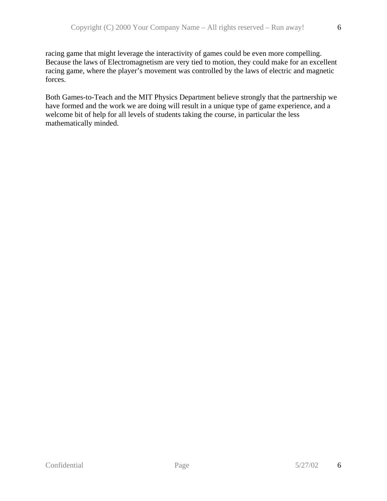racing game that might leverage the interactivity of games could be even more compelling. Because the laws of Electromagnetism are very tied to motion, they could make for an excellent racing game, where the player's movement was controlled by the laws of electric and magnetic forces.

Both Games-to-Teach and the MIT Physics Department believe strongly that the partnership we have formed and the work we are doing will result in a unique type of game experience, and a welcome bit of help for all levels of students taking the course, in particular the less mathematically minded.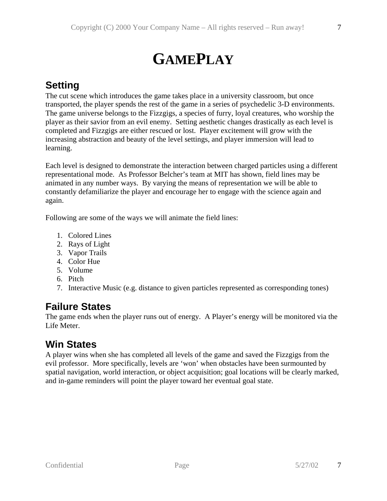7

# **GAMEPLAY**

## **Setting**

The cut scene which introduces the game takes place in a university classroom, but once transported, the player spends the rest of the game in a series of psychedelic 3-D environments. The game universe belongs to the Fizzgigs, a species of furry, loyal creatures, who worship the player as their savior from an evil enemy. Setting aesthetic changes drastically as each level is completed and Fizzgigs are either rescued or lost. Player excitement will grow with the increasing abstraction and beauty of the level settings, and player immersion will lead to learning.

Each level is designed to demonstrate the interaction between charged particles using a different representational mode. As Professor Belcher's team at MIT has shown, field lines may be animated in any number ways. By varying the means of representation we will be able to constantly defamiliarize the player and encourage her to engage with the science again and again.

Following are some of the ways we will animate the field lines:

- 1. Colored Lines
- 2. Rays of Light
- 3. Vapor Trails
- 4. Color Hue
- 5. Volume
- 6. Pitch
- 7. Interactive Music (e.g. distance to given particles represented as corresponding tones)

### **Failure States**

The game ends when the player runs out of energy. A Player's energy will be monitored via the Life Meter.

### **Win States**

A player wins when she has completed all levels of the game and saved the Fizzgigs from the evil professor. More specifically, levels are 'won' when obstacles have been surmounted by spatial navigation, world interaction, or object acquisition; goal locations will be clearly marked, and in-game reminders will point the player toward her eventual goal state.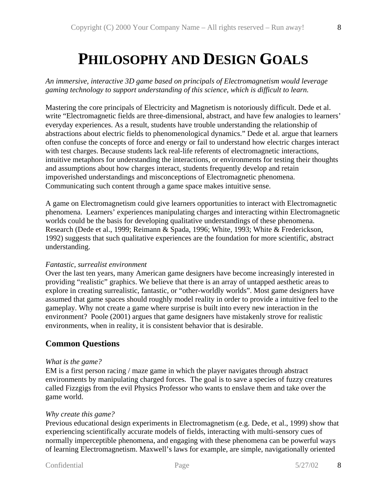# **PHILOSOPHY AND DESIGN GOALS**

*An immersive, interactive 3D game based on principals of Electromagnetism would leverage gaming technology to support understanding of this science, which is difficult to learn.*

Mastering the core principals of Electricity and Magnetism is notoriously difficult. Dede et al. write "Electromagnetic fields are three-dimensional, abstract, and have few analogies to learners' everyday experiences. As a result, students have trouble understanding the relationship of abstractions about electric fields to phenomenological dynamics." Dede et al. argue that learners often confuse the concepts of force and energy or fail to understand how electric charges interact with test charges. Because students lack real-life referents of electromagnetic interactions, intuitive metaphors for understanding the interactions, or environments for testing their thoughts and assumptions about how charges interact, students frequently develop and retain impoverished understandings and misconceptions of Electromagnetic phenomena. Communicating such content through a game space makes intuitive sense.

A game on Electromagnetism could give learners opportunities to interact with Electromagnetic phenomena. Learners' experiences manipulating charges and interacting within Electromagnetic worlds could be the basis for developing qualitative understandings of these phenomena. Research (Dede et al., 1999; Reimann & Spada, 1996; White, 1993; White & Frederickson, 1992) suggests that such qualitative experiences are the foundation for more scientific, abstract understanding.

#### *Fantastic, surrealist environment*

Over the last ten years, many American game designers have become increasingly interested in providing "realistic" graphics. We believe that there is an array of untapped aesthetic areas to explore in creating surrealistic, fantastic, or "other-worldly worlds". Most game designers have assumed that game spaces should roughly model reality in order to provide a intuitive feel to the gameplay. Why not create a game where surprise is built into every new interaction in the environment? Poole (2001) argues that game designers have mistakenly strove for realistic environments, when in reality, it is consistent behavior that is desirable.

### **Common Questions**

#### *What is the game?*

EM is a first person racing / maze game in which the player navigates through abstract environments by manipulating charged forces. The goal is to save a species of fuzzy creatures called Fizzgigs from the evil Physics Professor who wants to enslave them and take over the game world.

#### *Why create this game?*

Previous educational design experiments in Electromagnetism (e.g. Dede, et al., 1999) show that experiencing scientifically accurate models of fields, interacting with multi-sensory cues of normally imperceptible phenomena, and engaging with these phenomena can be powerful ways of learning Electromagnetism. Maxwell's laws for example, are simple, navigationally oriented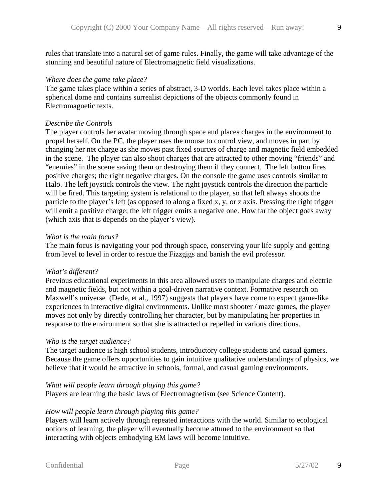rules that translate into a natural set of game rules. Finally, the game will take advantage of the stunning and beautiful nature of Electromagnetic field visualizations.

#### *Where does the game take place?*

The game takes place within a series of abstract, 3-D worlds. Each level takes place within a spherical dome and contains surrealist depictions of the objects commonly found in Electromagnetic texts.

#### *Describe the Controls*

The player controls her avatar moving through space and places charges in the environment to propel herself. On the PC, the player uses the mouse to control view, and moves in part by changing her net charge as she moves past fixed sources of charge and magnetic field embedded in the scene. The player can also shoot charges that are attracted to other moving "friends" and "enemies" in the scene saving them or destroying them if they connect. The left button fires positive charges; the right negative charges. On the console the game uses controls similar to Halo. The left joystick controls the view. The right joystick controls the direction the particle will be fired. This targeting system is relational to the player, so that left always shoots the particle to the player's left (as opposed to along a fixed x, y, or z axis. Pressing the right trigger will emit a positive charge; the left trigger emits a negative one. How far the object goes away (which axis that is depends on the player's view).

#### *What is the main focus?*

The main focus is navigating your pod through space, conserving your life supply and getting from level to level in order to rescue the Fizzgigs and banish the evil professor.

#### *What's different?*

Previous educational experiments in this area allowed users to manipulate charges and electric and magnetic fields, but not within a goal-driven narrative context. Formative research on Maxwell's universe (Dede, et al., 1997) suggests that players have come to expect game-like experiences in interactive digital environments. Unlike most shooter / maze games, the player moves not only by directly controlling her character, but by manipulating her properties in response to the environment so that she is attracted or repelled in various directions.

#### *Who is the target audience?*

The target audience is high school students, introductory college students and casual gamers. Because the game offers opportunities to gain intuitive qualitative understandings of physics, we believe that it would be attractive in schools, formal, and casual gaming environments.

#### *What will people learn through playing this game?*

Players are learning the basic laws of Electromagnetism (see Science Content).

#### *How will people learn through playing this game?*

Players will learn actively through repeated interactions with the world. Similar to ecological notions of learning, the player will eventually become attuned to the environment so that interacting with objects embodying EM laws will become intuitive.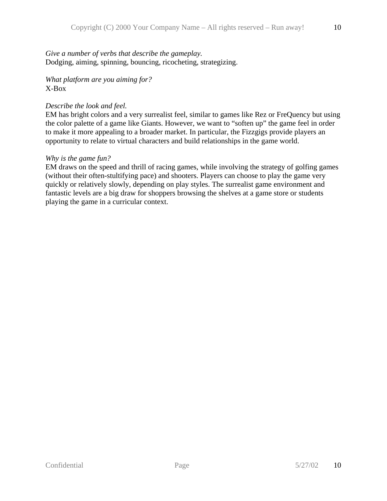*Give a number of verbs that describe the gameplay.* Dodging, aiming, spinning, bouncing, ricocheting, strategizing.

*What platform are you aiming for?* X-Box

#### *Describe the look and feel.*

EM has bright colors and a very surrealist feel, similar to games like Rez or FreQuency but using the color palette of a game like Giants. However, we want to "soften up" the game feel in order to make it more appealing to a broader market. In particular, the Fizzgigs provide players an opportunity to relate to virtual characters and build relationships in the game world.

### *Why is the game fun?*

EM draws on the speed and thrill of racing games, while involving the strategy of golfing games (without their often-stultifying pace) and shooters. Players can choose to play the game very quickly or relatively slowly, depending on play styles. The surrealist game environment and fantastic levels are a big draw for shoppers browsing the shelves at a game store or students playing the game in a curricular context.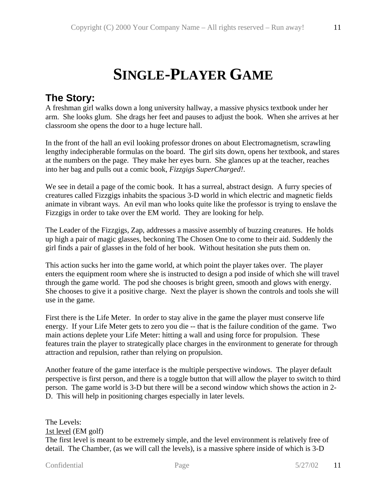# **SINGLE-PLAYER GAME**

### **The Story:**

A freshman girl walks down a long university hallway, a massive physics textbook under her arm. She looks glum. She drags her feet and pauses to adjust the book. When she arrives at her classroom she opens the door to a huge lecture hall.

In the front of the hall an evil looking professor drones on about Electromagnetism, scrawling lengthy indecipherable formulas on the board. The girl sits down, opens her textbook, and stares at the numbers on the page. They make her eyes burn. She glances up at the teacher, reaches into her bag and pulls out a comic book, *Fizzgigs SuperCharged!*.

We see in detail a page of the comic book. It has a surreal, abstract design. A furry species of creatures called Fizzgigs inhabits the spacious 3-D world in which electric and magnetic fields animate in vibrant ways. An evil man who looks quite like the professor is trying to enslave the Fizzgigs in order to take over the EM world. They are looking for help.

The Leader of the Fizzgigs, Zap, addresses a massive assembly of buzzing creatures. He holds up high a pair of magic glasses, beckoning The Chosen One to come to their aid. Suddenly the girl finds a pair of glasses in the fold of her book. Without hesitation she puts them on.

This action sucks her into the game world, at which point the player takes over. The player enters the equipment room where she is instructed to design a pod inside of which she will travel through the game world. The pod she chooses is bright green, smooth and glows with energy. She chooses to give it a positive charge. Next the player is shown the controls and tools she will use in the game.

First there is the Life Meter. In order to stay alive in the game the player must conserve life energy. If your Life Meter gets to zero you die -- that is the failure condition of the game. Two main actions deplete your Life Meter: hitting a wall and using force for propulsion. These features train the player to strategically place charges in the environment to generate for through attraction and repulsion, rather than relying on propulsion.

Another feature of the game interface is the multiple perspective windows. The player default perspective is first person, and there is a toggle button that will allow the player to switch to third person. The game world is 3-D but there will be a second window which shows the action in 2- D. This will help in positioning charges especially in later levels.

The Levels: 1st level (EM golf) The first level is meant to be extremely simple, and the level environment is relatively free of detail. The Chamber, (as we will call the levels), is a massive sphere inside of which is 3-D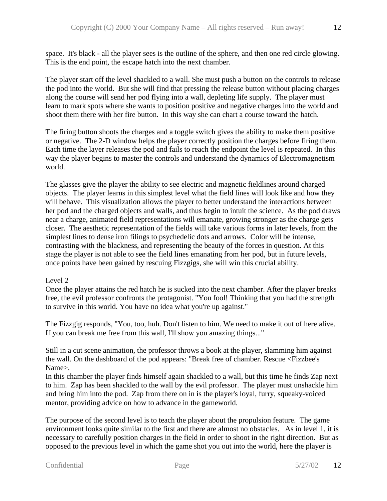space. It's black - all the player sees is the outline of the sphere, and then one red circle glowing. This is the end point, the escape hatch into the next chamber.

The player start off the level shackled to a wall. She must push a button on the controls to release the pod into the world. But she will find that pressing the release button without placing charges along the course will send her pod flying into a wall, depleting life supply. The player must learn to mark spots where she wants to position positive and negative charges into the world and shoot them there with her fire button. In this way she can chart a course toward the hatch.

The firing button shoots the charges and a toggle switch gives the ability to make them positive or negative. The 2-D window helps the player correctly position the charges before firing them. Each time the layer releases the pod and fails to reach the endpoint the level is repeated. In this way the player begins to master the controls and understand the dynamics of Electromagnetism world.

The glasses give the player the ability to see electric and magnetic fieldlines around charged objects. The player learns in this simplest level what the field lines will look like and how they will behave. This visualization allows the player to better understand the interactions between her pod and the charged objects and walls, and thus begin to intuit the science. As the pod draws near a charge, animated field representations will emanate, growing stronger as the charge gets closer. The aesthetic representation of the fields will take various forms in later levels, from the simplest lines to dense iron filings to psychedelic dots and arrows. Color will be intense, contrasting with the blackness, and representing the beauty of the forces in question. At this stage the player is not able to see the field lines emanating from her pod, but in future levels, once points have been gained by rescuing Fizzgigs, she will win this crucial ability.

### Level 2

Once the player attains the red hatch he is sucked into the next chamber. After the player breaks free, the evil professor confronts the protagonist. "You fool! Thinking that you had the strength to survive in this world. You have no idea what you're up against."

The Fizzgig responds, "You, too, huh. Don't listen to him. We need to make it out of here alive. If you can break me free from this wall, I'll show you amazing things..."

Still in a cut scene animation, the professor throws a book at the player, slamming him against the wall. On the dashboard of the pod appears: "Break free of chamber. Rescue <Fizzbee's Name>.

In this chamber the player finds himself again shackled to a wall, but this time he finds Zap next to him. Zap has been shackled to the wall by the evil professor. The player must unshackle him and bring him into the pod. Zap from there on in is the player's loyal, furry, squeaky-voiced mentor, providing advice on how to advance in the gameworld.

The purpose of the second level is to teach the player about the propulsion feature. The game environment looks quite similar to the first and there are almost no obstacles. As in level 1, it is necessary to carefully position charges in the field in order to shoot in the right direction. But as opposed to the previous level in which the game shot you out into the world, here the player is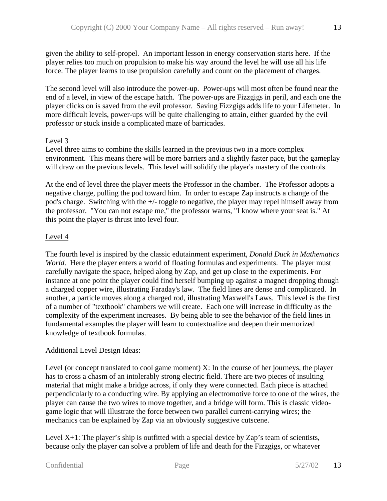given the ability to self-propel. An important lesson in energy conservation starts here. If the player relies too much on propulsion to make his way around the level he will use all his life force. The player learns to use propulsion carefully and count on the placement of charges.

The second level will also introduce the power-up. Power-ups will most often be found near the end of a level, in view of the escape hatch. The power-ups are Fizzgigs in peril, and each one the player clicks on is saved from the evil professor. Saving Fizzgigs adds life to your Lifemeter. In more difficult levels, power-ups will be quite challenging to attain, either guarded by the evil professor or stuck inside a complicated maze of barricades.

### Level 3

Level three aims to combine the skills learned in the previous two in a more complex environment. This means there will be more barriers and a slightly faster pace, but the gameplay will draw on the previous levels. This level will solidify the player's mastery of the controls.

At the end of level three the player meets the Professor in the chamber. The Professor adopts a negative charge, pulling the pod toward him. In order to escape Zap instructs a change of the pod's charge. Switching with the +/- toggle to negative, the player may repel himself away from the professor. "You can not escape me," the professor warns, "I know where your seat is." At this point the player is thrust into level four.

### Level 4

The fourth level is inspired by the classic edutainment experiment, *Donald Duck in Mathematics World*. Here the player enters a world of floating formulas and experiments. The player must carefully navigate the space, helped along by Zap, and get up close to the experiments. For instance at one point the player could find herself bumping up against a magnet dropping though a charged copper wire, illustrating Faraday's law. The field lines are dense and complicated. In another, a particle moves along a charged rod, illustrating Maxwell's Laws. This level is the first of a number of "textbook" chambers we will create. Each one will increase in difficulty as the complexity of the experiment increases. By being able to see the behavior of the field lines in fundamental examples the player will learn to contextualize and deepen their memorized knowledge of textbook formulas.

### Additional Level Design Ideas:

Level (or concept translated to cool game moment) X: In the course of her journeys, the player has to cross a chasm of an intolerably strong electric field. There are two pieces of insulting material that might make a bridge across, if only they were connected. Each piece is attached perpendicularly to a conducting wire. By applying an electromotive force to one of the wires, the player can cause the two wires to move together, and a bridge will form. This is classic videogame logic that will illustrate the force between two parallel current-carrying wires; the mechanics can be explained by Zap via an obviously suggestive cutscene.

Level  $X+1$ : The player's ship is outfitted with a special device by Zap's team of scientists, because only the player can solve a problem of life and death for the Fizzgigs, or whatever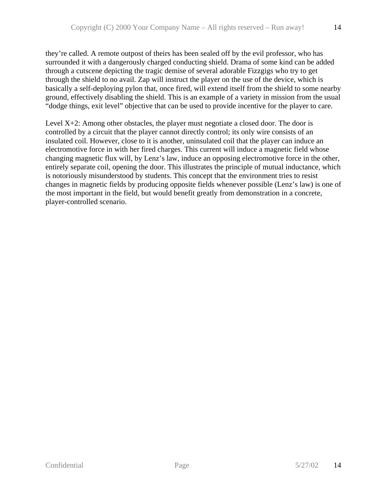they're called. A remote outpost of theirs has been sealed off by the evil professor, who has surrounded it with a dangerously charged conducting shield. Drama of some kind can be added through a cutscene depicting the tragic demise of several adorable Fizzgigs who try to get through the shield to no avail. Zap will instruct the player on the use of the device, which is basically a self-deploying pylon that, once fired, will extend itself from the shield to some nearby ground, effectively disabling the shield. This is an example of a variety in mission from the usual "dodge things, exit level" objective that can be used to provide incentive for the player to care.

Level X+2: Among other obstacles, the player must negotiate a closed door. The door is controlled by a circuit that the player cannot directly control; its only wire consists of an insulated coil. However, close to it is another, uninsulated coil that the player can induce an electromotive force in with her fired charges. This current will induce a magnetic field whose changing magnetic flux will, by Lenz's law, induce an opposing electromotive force in the other, entirely separate coil, opening the door. This illustrates the principle of mutual inductance, which is notoriously misunderstood by students. This concept that the environment tries to resist changes in magnetic fields by producing opposite fields whenever possible (Lenz's law) is one of the most important in the field, but would benefit greatly from demonstration in a concrete, player-controlled scenario.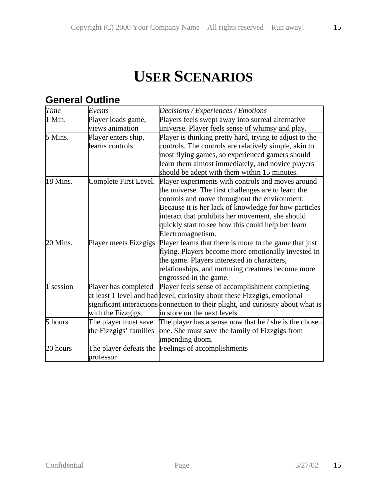# **USER SCENARIOS**

## **General Outline**

| Time      | Events                 | Decisions / Experiences / Emotions                                               |
|-----------|------------------------|----------------------------------------------------------------------------------|
| 1 Min.    | Player loads game,     | Players feels swept away into surreal alternative                                |
|           | views animation        | universe. Player feels sense of whimsy and play.                                 |
| 5 Mins.   | Player enters ship,    | Player is thinking pretty hard, trying to adjust to the                          |
|           | learns controls        | controls. The controls are relatively simple, akin to                            |
|           |                        | most flying games, so experienced gamers should                                  |
|           |                        | learn them almost immediately, and novice players                                |
|           |                        | should be adept with them within 15 minutes.                                     |
| 18 Mins.  | Complete First Level.  | Player experiments with controls and moves around                                |
|           |                        | the universe. The first challenges are to learn the                              |
|           |                        | controls and move throughout the environment.                                    |
|           |                        | Because it is her lack of knowledge for how particles                            |
|           |                        | interact that prohibits her movement, she should                                 |
|           |                        | quickly start to see how this could help her learn                               |
|           |                        | Electromagnetism.                                                                |
| 20 Mins.  | Player meets Fizzgigs  | Player learns that there is more to the game that just                           |
|           |                        | flying. Players become more emotionally invested in                              |
|           |                        | the game. Players interested in characters,                                      |
|           |                        | relationships, and nurturing creatures become more                               |
|           |                        | engrossed in the game.                                                           |
| 1 session | Player has completed   | Player feels sense of accomplishment completing                                  |
|           |                        | at least 1 level and had level, curiosity about these Fizzgigs, emotional        |
|           |                        | significant interactions connection to their plight, and curiosity about what is |
|           | with the Fizzgigs.     | in store on the next levels.                                                     |
| 5 hours   | The player must save   | The player has a sense now that he $\prime$ she is the chosen                    |
|           | the Fizzgigs' families | one. She must save the family of Fizzgigs from                                   |
|           |                        | impending doom.                                                                  |
| 20 hours  |                        | The player defeats the Feelings of accomplishments                               |
|           | professor              |                                                                                  |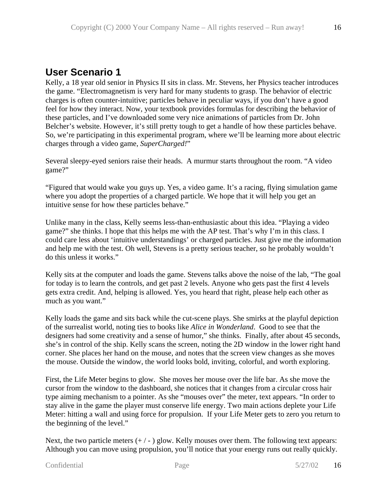### **User Scenario 1**

Kelly, a 18 year old senior in Physics II sits in class. Mr. Stevens, her Physics teacher introduces the game. "Electromagnetism is very hard for many students to grasp. The behavior of electric charges is often counter-intuitive; particles behave in peculiar ways, if you don't have a good feel for how they interact. Now, your textbook provides formulas for describing the behavior of these particles, and I've downloaded some very nice animations of particles from Dr. John Belcher's website. However, it's still pretty tough to get a handle of how these particles behave. So, we're participating in this experimental program, where we'll be learning more about electric charges through a video game, *SuperCharged!*"

Several sleepy-eyed seniors raise their heads. A murmur starts throughout the room. "A video game?"

"Figured that would wake you guys up. Yes, a video game. It's a racing, flying simulation game where you adopt the properties of a charged particle. We hope that it will help you get an intuitive sense for how these particles behave."

Unlike many in the class, Kelly seems less-than-enthusiastic about this idea. "Playing a video game?" she thinks. I hope that this helps me with the AP test. That's why I'm in this class. I could care less about 'intuitive understandings' or charged particles. Just give me the information and help me with the test. Oh well, Stevens is a pretty serious teacher, so he probably wouldn't do this unless it works."

Kelly sits at the computer and loads the game. Stevens talks above the noise of the lab, "The goal for today is to learn the controls, and get past 2 levels. Anyone who gets past the first 4 levels gets extra credit. And, helping is allowed. Yes, you heard that right, please help each other as much as you want."

Kelly loads the game and sits back while the cut-scene plays. She smirks at the playful depiction of the surrealist world, noting ties to books like *Alice in Wonderland*. Good to see that the designers had some creativity and a sense of humor," she thinks. Finally, after about 45 seconds, she's in control of the ship. Kelly scans the screen, noting the 2D window in the lower right hand corner. She places her hand on the mouse, and notes that the screen view changes as she moves the mouse. Outside the window, the world looks bold, inviting, colorful, and worth exploring.

First, the Life Meter begins to glow. She moves her mouse over the life bar. As she move the cursor from the window to the dashboard, she notices that it changes from a circular cross hair type aiming mechanism to a pointer. As she "mouses over" the meter, text appears. "In order to stay alive in the game the player must conserve life energy. Two main actions deplete your Life Meter: hitting a wall and using force for propulsion. If your Life Meter gets to zero you return to the beginning of the level."

Next, the two particle meters  $(+/-)$  glow. Kelly mouses over them. The following text appears: Although you can move using propulsion, you'll notice that your energy runs out really quickly.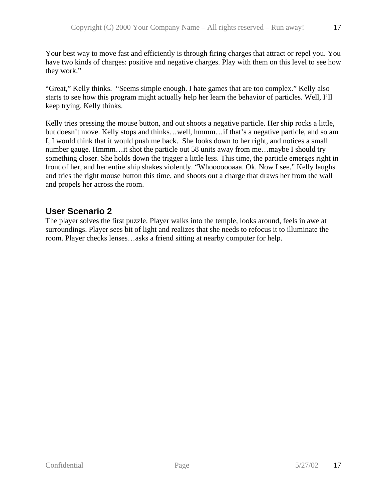Your best way to move fast and efficiently is through firing charges that attract or repel you. You have two kinds of charges: positive and negative charges. Play with them on this level to see how they work."

"Great," Kelly thinks. "Seems simple enough. I hate games that are too complex." Kelly also starts to see how this program might actually help her learn the behavior of particles. Well, I'll keep trying, Kelly thinks.

Kelly tries pressing the mouse button, and out shoots a negative particle. Her ship rocks a little, but doesn't move. Kelly stops and thinks…well, hmmm…if that's a negative particle, and so am I, I would think that it would push me back. She looks down to her right, and notices a small number gauge. Hmmm…it shot the particle out 58 units away from me…maybe I should try something closer. She holds down the trigger a little less. This time, the particle emerges right in front of her, and her entire ship shakes violently. "Whooooooaaa. Ok. Now I see." Kelly laughs and tries the right mouse button this time, and shoots out a charge that draws her from the wall and propels her across the room.

### **User Scenario 2**

The player solves the first puzzle. Player walks into the temple, looks around, feels in awe at surroundings. Player sees bit of light and realizes that she needs to refocus it to illuminate the room. Player checks lenses…asks a friend sitting at nearby computer for help.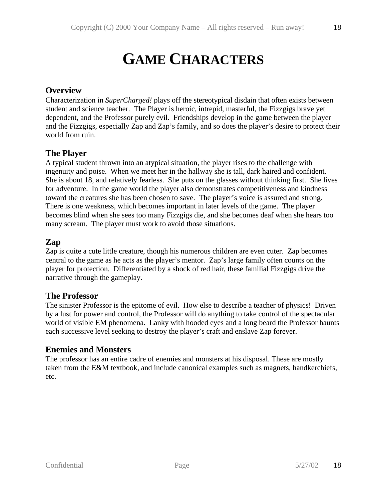18

# **GAME CHARACTERS**

### **Overview**

Characterization in *SuperCharged!* plays off the stereotypical disdain that often exists between student and science teacher. The Player is heroic, intrepid, masterful, the Fizzgigs brave yet dependent, and the Professor purely evil. Friendships develop in the game between the player and the Fizzgigs, especially Zap and Zap's family, and so does the player's desire to protect their world from ruin.

### **The Player**

A typical student thrown into an atypical situation, the player rises to the challenge with ingenuity and poise. When we meet her in the hallway she is tall, dark haired and confident. She is about 18, and relatively fearless. She puts on the glasses without thinking first. She lives for adventure. In the game world the player also demonstrates competitiveness and kindness toward the creatures she has been chosen to save. The player's voice is assured and strong. There is one weakness, which becomes important in later levels of the game. The player becomes blind when she sees too many Fizzgigs die, and she becomes deaf when she hears too many scream. The player must work to avoid those situations.

### **Zap**

Zap is quite a cute little creature, though his numerous children are even cuter. Zap becomes central to the game as he acts as the player's mentor. Zap's large family often counts on the player for protection. Differentiated by a shock of red hair, these familial Fizzgigs drive the narrative through the gameplay.

### **The Professor**

The sinister Professor is the epitome of evil. How else to describe a teacher of physics! Driven by a lust for power and control, the Professor will do anything to take control of the spectacular world of visible EM phenomena. Lanky with hooded eyes and a long beard the Professor haunts each successive level seeking to destroy the player's craft and enslave Zap forever.

### **Enemies and Monsters**

The professor has an entire cadre of enemies and monsters at his disposal. These are mostly taken from the E&M textbook, and include canonical examples such as magnets, handkerchiefs, etc.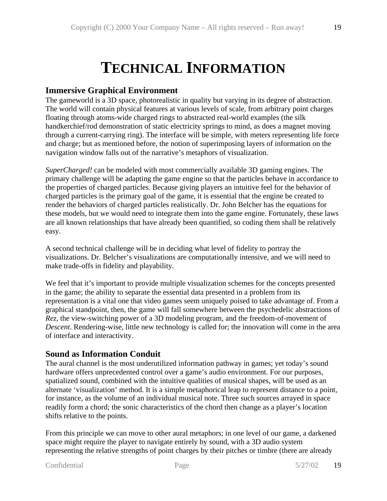# **TECHNICAL INFORMATION**

### **Immersive Graphical Environment**

The gameworld is a 3D space, photorealistic in quality but varying in its degree of abstraction. The world will contain physical features at various levels of scale, from arbitrary point charges floating through atoms-wide charged rings to abstracted real-world examples (the silk handkerchief/rod demonstration of static electricity springs to mind, as does a magnet moving through a current-carrying ring). The interface will be simple, with meters representing life force and charge; but as mentioned before, the notion of superimposing layers of information on the navigation window falls out of the narrative's metaphors of visualization.

*SuperCharged!* can be modeled with most commercially available 3D gaming engines. The primary challenge will be adapting the game engine so that the particles behave in accordance to the properties of charged particles. Because giving players an intuitive feel for the behavior of charged particles is the primary goal of the game, it is essential that the engine be created to render the behaviors of charged particles realistically. Dr. John Belcher has the equations for these models, but we would need to integrate them into the game engine. Fortunately, these laws are all known relationships that have already been quantified, so coding them shall be relatively easy.

A second technical challenge will be in deciding what level of fidelity to portray the visualizations. Dr. Belcher's visualizations are computationally intensive, and we will need to make trade-offs in fidelity and playability.

We feel that it's important to provide multiple visualization schemes for the concepts presented in the game; the ability to separate the essential data presented in a problem from its representation is a vital one that video games seem uniquely poised to take advantage of. From a graphical standpoint, then, the game will fall somewhere between the psychedelic abstractions of *Rez*, the view-switching power of a 3D modeling program, and the freedom-of-movement of *Descent*. Rendering-wise, little new technology is called for; the innovation will come in the area of interface and interactivity.

### **Sound as Information Conduit**

The aural channel is the most underutilized information pathway in games; yet today's sound hardware offers unprecedented control over a game's audio environment. For our purposes, spatialized sound, combined with the intuitive qualities of musical shapes, will be used as an alternate 'visualization' method. It is a simple metaphorical leap to represent distance to a point, for instance, as the volume of an individual musical note. Three such sources arrayed in space readily form a chord; the sonic characteristics of the chord then change as a player's location shifts relative to the points.

From this principle we can move to other aural metaphors; in one level of our game, a darkened space might require the player to navigate entirely by sound, with a 3D audio system representing the relative strengths of point charges by their pitches or timbre (there are already

```
Confidential Page 5/27/02
```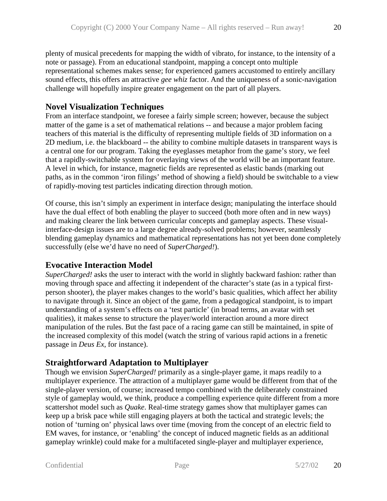plenty of musical precedents for mapping the width of vibrato, for instance, to the intensity of a note or passage). From an educational standpoint, mapping a concept onto multiple representational schemes makes sense; for experienced gamers accustomed to entirely ancillary sound effects, this offers an attractive *gee whiz* factor. And the uniqueness of a sonic-navigation challenge will hopefully inspire greater engagement on the part of all players.

### **Novel Visualization Techniques**

From an interface standpoint, we foresee a fairly simple screen; however, because the subject matter of the game is a set of mathematical relations -- and because a major problem facing teachers of this material is the difficulty of representing multiple fields of 3D information on a 2D medium, i.e. the blackboard -- the ability to combine multiple datasets in transparent ways is a central one for our program. Taking the eyeglasses metaphor from the game's story, we feel that a rapidly-switchable system for overlaying views of the world will be an important feature. A level in which, for instance, magnetic fields are represented as elastic bands (marking out paths, as in the common 'iron filings' method of showing a field) should be switchable to a view of rapidly-moving test particles indicating direction through motion.

Of course, this isn't simply an experiment in interface design; manipulating the interface should have the dual effect of both enabling the player to succeed (both more often and in new ways) and making clearer the link between curricular concepts and gameplay aspects. These visualinterface-design issues are to a large degree already-solved problems; however, seamlessly blending gameplay dynamics and mathematical representations has not yet been done completely successfully (else we'd have no need of *SuperCharged!*).

### **Evocative Interaction Model**

*SuperCharged!* asks the user to interact with the world in slightly backward fashion: rather than moving through space and affecting it independent of the character's state (as in a typical firstperson shooter), the player makes changes to the world's basic qualities, which affect her ability to navigate through it. Since an object of the game, from a pedagogical standpoint, is to impart understanding of a system's effects on a 'test particle' (in broad terms, an avatar with set qualities), it makes sense to structure the player/world interaction around a more direct manipulation of the rules. But the fast pace of a racing game can still be maintained, in spite of the increased complexity of this model (watch the string of various rapid actions in a frenetic passage in *Deus Ex*, for instance).

### **Straightforward Adaptation to Multiplayer**

Though we envision *SuperCharged!* primarily as a single-player game, it maps readily to a multiplayer experience. The attraction of a multiplayer game would be different from that of the single-player version, of course; increased tempo combined with the deliberately constrained style of gameplay would, we think, produce a compelling experience quite different from a more scattershot model such as *Quake*. Real-time strategy games show that multiplayer games can keep up a brisk pace while still engaging players at both the tactical and strategic levels; the notion of 'turning on' physical laws over time (moving from the concept of an electric field to EM waves, for instance, or 'enabling' the concept of induced magnetic fields as an additional gameplay wrinkle) could make for a multifaceted single-player and multiplayer experience,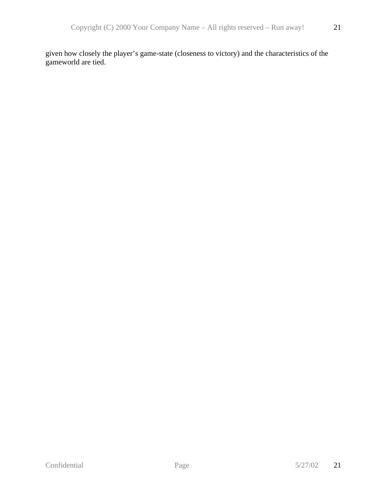given how closely the player's game-state (closeness to victory) and the characteristics of the gameworld are tied.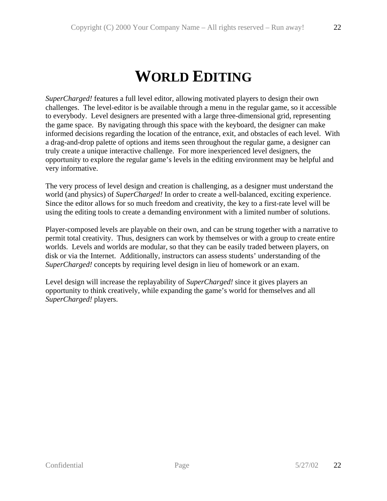*SuperCharged!* features a full level editor, allowing motivated players to design their own challenges. The level-editor is be available through a menu in the regular game, so it accessible to everybody. Level designers are presented with a large three-dimensional grid, representing the game space. By navigating through this space with the keyboard, the designer can make informed decisions regarding the location of the entrance, exit, and obstacles of each level. With a drag-and-drop palette of options and items seen throughout the regular game, a designer can truly create a unique interactive challenge. For more inexperienced level designers, the opportunity to explore the regular game's levels in the editing environment may be helpful and very informative.

The very process of level design and creation is challenging, as a designer must understand the world (and physics) of *SuperCharged!* In order to create a well-balanced, exciting experience. Since the editor allows for so much freedom and creativity, the key to a first-rate level will be using the editing tools to create a demanding environment with a limited number of solutions.

Player-composed levels are playable on their own, and can be strung together with a narrative to permit total creativity. Thus, designers can work by themselves or with a group to create entire worlds. Levels and worlds are modular, so that they can be easily traded between players, on disk or via the Internet. Additionally, instructors can assess students' understanding of the *SuperCharged!* concepts by requiring level design in lieu of homework or an exam.

Level design will increase the replayability of *SuperCharged!* since it gives players an opportunity to think creatively, while expanding the game's world for themselves and all *SuperCharged!* players.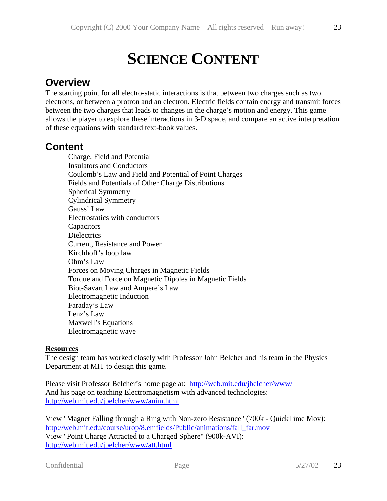# **SCIENCE CONTENT**

### **Overview**

The starting point for all electro-static interactions is that between two charges such as two electrons, or between a protron and an electron. Electric fields contain energy and transmit forces between the two charges that leads to changes in the charge's motion and energy. This game allows the player to explore these interactions in 3-D space, and compare an active interpretation of these equations with standard text-book values.

### **Content**

Charge, Field and Potential Insulators and Conductors Coulomb's Law and Field and Potential of Point Charges Fields and Potentials of Other Charge Distributions Spherical Symmetry Cylindrical Symmetry Gauss' Law Electrostatics with conductors **Capacitors Dielectrics** Current, Resistance and Power Kirchhoff's loop law Ohm's Law Forces on Moving Charges in Magnetic Fields Torque and Force on Magnetic Dipoles in Magnetic Fields Biot-Savart Law and Ampere's Law Electromagnetic Induction Faraday's Law Lenz's Law Maxwell's Equations Electromagnetic wave

### **Resources**

The design team has worked closely with Professor John Belcher and his team in the Physics Department at MIT to design this game.

Please visit Professor Belcher's home page at: http://web.mit.edu/jbelcher/www/ And his page on teaching Electromagnetism with advanced technologies: http://web.mit.edu/jbelcher/www/anim.html

View "Magnet Falling through a Ring with Non-zero Resistance" (700k - QuickTime Mov): http://web.mit.edu/course/urop/8.emfields/Public/animations/fall\_far.mov View "Point Charge Attracted to a Charged Sphere" (900k-AVI): http://web.mit.edu/jbelcher/www/att.html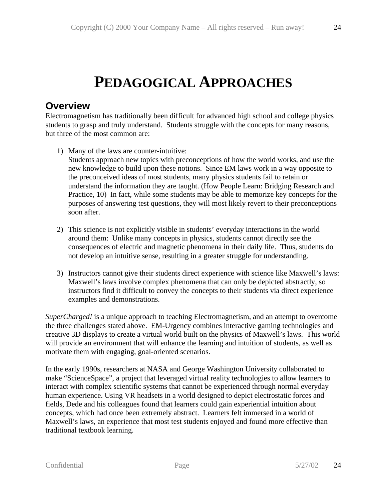# **PEDAGOGICAL APPROACHES**

### **Overview**

Electromagnetism has traditionally been difficult for advanced high school and college physics students to grasp and truly understand. Students struggle with the concepts for many reasons, but three of the most common are:

1) Many of the laws are counter-intuitive: Students approach new topics with preconceptions of how the world works, and use the

new knowledge to build upon these notions. Since EM laws work in a way opposite to the preconceived ideas of most students, many physics students fail to retain or understand the information they are taught. (How People Learn: Bridging Research and Practice, 10) In fact, while some students may be able to memorize key concepts for the purposes of answering test questions, they will most likely revert to their preconceptions soon after.

- 2) This science is not explicitly visible in students' everyday interactions in the world around them: Unlike many concepts in physics, students cannot directly see the consequences of electric and magnetic phenomena in their daily life. Thus, students do not develop an intuitive sense, resulting in a greater struggle for understanding.
- 3) Instructors cannot give their students direct experience with science like Maxwell's laws: Maxwell's laws involve complex phenomena that can only be depicted abstractly, so instructors find it difficult to convey the concepts to their students via direct experience examples and demonstrations.

*SuperCharged!* is a unique approach to teaching Electromagnetism, and an attempt to overcome the three challenges stated above. EM-Urgency combines interactive gaming technologies and creative 3D displays to create a virtual world built on the physics of Maxwell's laws. This world will provide an environment that will enhance the learning and intuition of students, as well as motivate them with engaging, goal-oriented scenarios.

In the early 1990s, researchers at NASA and George Washington University collaborated to make "ScienceSpace", a project that leveraged virtual reality technologies to allow learners to interact with complex scientific systems that cannot be experienced through normal everyday human experience. Using VR headsets in a world designed to depict electrostatic forces and fields, Dede and his colleagues found that learners could gain experiential intuition about concepts, which had once been extremely abstract. Learners felt immersed in a world of Maxwell's laws, an experience that most test students enjoyed and found more effective than traditional textbook learning.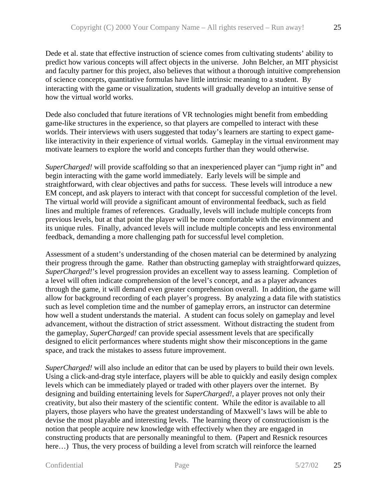Dede et al. state that effective instruction of science comes from cultivating students' ability to predict how various concepts will affect objects in the universe. John Belcher, an MIT physicist and faculty partner for this project, also believes that without a thorough intuitive comprehension of science concepts, quantitative formulas have little intrinsic meaning to a student. By interacting with the game or visualization, students will gradually develop an intuitive sense of how the virtual world works.

Dede also concluded that future iterations of VR technologies might benefit from embedding game-like structures in the experience, so that players are compelled to interact with these worlds. Their interviews with users suggested that today's learners are starting to expect gamelike interactivity in their experience of virtual worlds. Gameplay in the virtual environment may motivate learners to explore the world and concepts further than they would otherwise.

*SuperCharged!* will provide scaffolding so that an inexperienced player can "jump right in" and begin interacting with the game world immediately. Early levels will be simple and straightforward, with clear objectives and paths for success. These levels will introduce a new EM concept, and ask players to interact with that concept for successful completion of the level. The virtual world will provide a significant amount of environmental feedback, such as field lines and multiple frames of references. Gradually, levels will include multiple concepts from previous levels, but at that point the player will be more comfortable with the environment and its unique rules. Finally, advanced levels will include multiple concepts and less environmental feedback, demanding a more challenging path for successful level completion.

Assessment of a student's understanding of the chosen material can be determined by analyzing their progress through the game. Rather than obstructing gameplay with straightforward quizzes, *SuperCharged!*'s level progression provides an excellent way to assess learning. Completion of a level will often indicate comprehension of the level's concept, and as a player advances through the game, it will demand even greater comprehension overall. In addition, the game will allow for background recording of each player's progress. By analyzing a data file with statistics such as level completion time and the number of gameplay errors, an instructor can determine how well a student understands the material. A student can focus solely on gameplay and level advancement, without the distraction of strict assessment. Without distracting the student from the gameplay, *SuperCharged!* can provide special assessment levels that are specifically designed to elicit performances where students might show their misconceptions in the game space, and track the mistakes to assess future improvement.

*SuperCharged!* will also include an editor that can be used by players to build their own levels. Using a click-and-drag style interface, players will be able to quickly and easily design complex levels which can be immediately played or traded with other players over the internet. By designing and building entertaining levels for *SuperCharged!*, a player proves not only their creativity, but also their mastery of the scientific content. While the editor is available to all players, those players who have the greatest understanding of Maxwell's laws will be able to devise the most playable and interesting levels. The learning theory of constructionism is the notion that people acquire new knowledge with effectively when they are engaged in constructing products that are personally meaningful to them. (Papert and Resnick resources here...) Thus, the very process of building a level from scratch will reinforce the learned